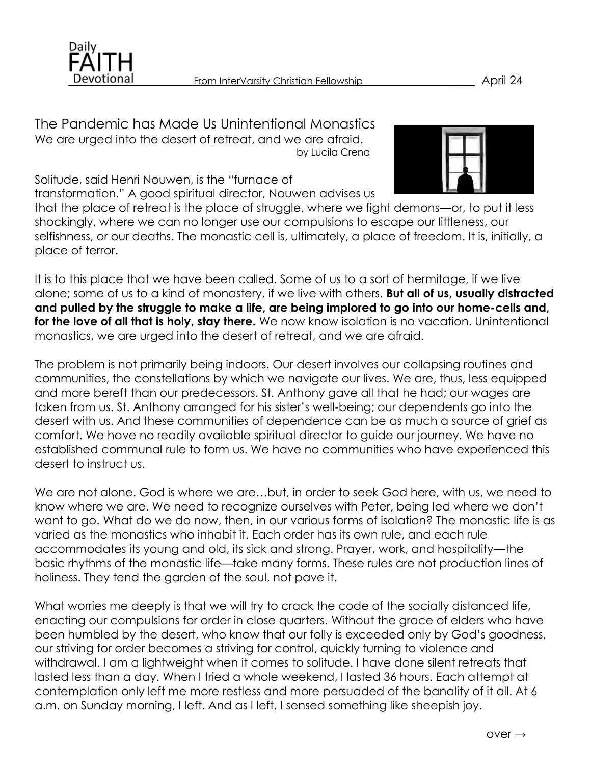

The Pandemic has Made Us Unintentional Monastics We are urged into the desert of retreat, and we are afraid. by Lucila Crena



Solitude, said Henri Nouwen, is the "furnace of transformation." A good spiritual director, Nouwen advises us

that the place of retreat is the place of struggle, where we fight demons—or, to put it less shockingly, where we can no longer use our compulsions to escape our littleness, our selfishness, or our deaths. The monastic cell is, ultimately, a place of freedom. It is, initially, a place of terror.

It is to this place that we have been called. Some of us to a sort of hermitage, if we live alone; some of us to a kind of monastery, if we live with others. **But all of us, usually distracted and pulled by the struggle to make a life, are being implored to go into our home-cells and, for the love of all that is holy, stay there.** We now know isolation is no vacation. Unintentional monastics, we are urged into the desert of retreat, and we are afraid.

The problem is not primarily being indoors. Our desert involves our collapsing routines and communities, the constellations by which we navigate our lives. We are, thus, less equipped and more bereft than our predecessors. St. Anthony gave all that he had; our wages are taken from us. St. Anthony arranged for his sister's well-being; our dependents go into the desert with us. And these communities of dependence can be as much a source of grief as comfort. We have no readily available spiritual director to guide our journey. We have no established communal rule to form us. We have no communities who have experienced this desert to instruct us.

We are not alone. God is where we are…but, in order to seek God here, with us, we need to know where we are. We need to recognize ourselves with Peter, being led where we don't want to go. What do we do now, then, in our various forms of isolation? The monastic life is as varied as the monastics who inhabit it. Each order has its own rule, and each rule accommodates its young and old, its sick and strong. Prayer, work, and hospitality—the basic rhythms of the monastic life—take many forms. These rules are not production lines of holiness. They tend the garden of the soul, not pave it.

What worries me deeply is that we will try to crack the code of the socially distanced life, enacting our compulsions for order in close quarters. Without the grace of elders who have been humbled by the desert, who know that our folly is exceeded only by God's goodness, our striving for order becomes a striving for control, quickly turning to violence and withdrawal. I am a lightweight when it comes to solitude. I have done silent retreats that lasted less than a day. When I tried a whole weekend, I lasted 36 hours. Each attempt at contemplation only left me more restless and more persuaded of the banality of it all. At 6 a.m. on Sunday morning, I left. And as I left, I sensed something like sheepish joy.